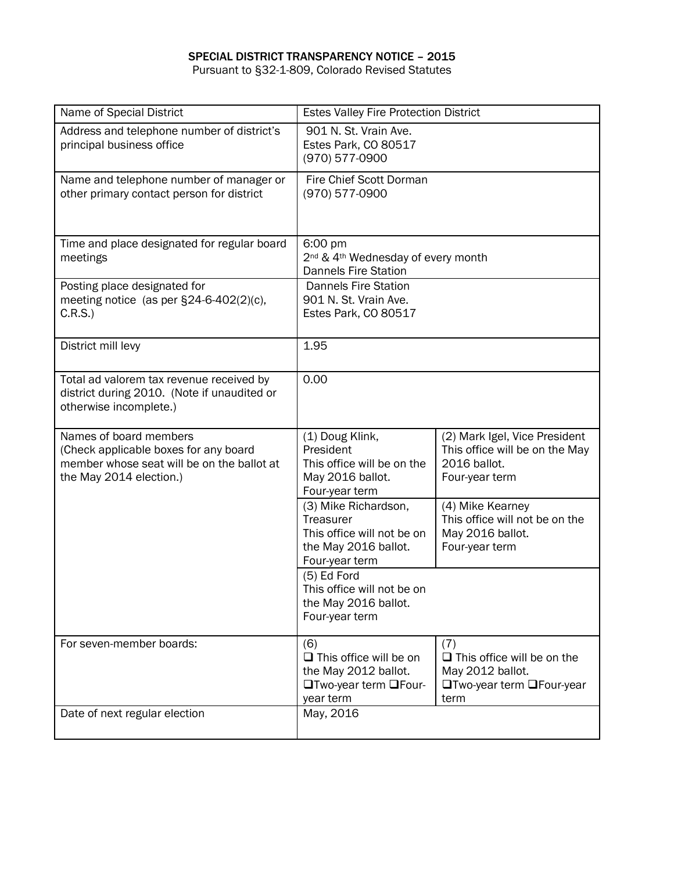## SPECIAL DISTRICT TRANSPARENCY NOTICE – 2015

Pursuant to §32-1-809, Colorado Revised Statutes

| Name of Special District                                                                                                                 | <b>Estes Valley Fire Protection District</b>                                                              |                                                                                                          |  |
|------------------------------------------------------------------------------------------------------------------------------------------|-----------------------------------------------------------------------------------------------------------|----------------------------------------------------------------------------------------------------------|--|
| Address and telephone number of district's<br>principal business office                                                                  | 901 N. St. Vrain Ave.<br>Estes Park, CO 80517<br>(970) 577-0900                                           |                                                                                                          |  |
| Name and telephone number of manager or<br>other primary contact person for district                                                     | Fire Chief Scott Dorman<br>(970) 577-0900                                                                 |                                                                                                          |  |
| Time and place designated for regular board<br>meetings                                                                                  | 6:00 pm<br>2 <sup>nd</sup> & 4 <sup>th</sup> Wednesday of every month<br><b>Dannels Fire Station</b>      |                                                                                                          |  |
| Posting place designated for<br>meeting notice (as per $\S24-6-402(2)(c)$ ,<br>C.R.S.)                                                   | <b>Dannels Fire Station</b><br>901 N. St. Vrain Ave.<br>Estes Park, CO 80517                              |                                                                                                          |  |
| District mill levy                                                                                                                       | 1.95                                                                                                      |                                                                                                          |  |
| Total ad valorem tax revenue received by<br>district during 2010. (Note if unaudited or<br>otherwise incomplete.)                        | 0.00                                                                                                      |                                                                                                          |  |
| Names of board members<br>(Check applicable boxes for any board<br>member whose seat will be on the ballot at<br>the May 2014 election.) | (1) Doug Klink,<br>President<br>This office will be on the<br>May 2016 ballot.<br>Four-year term          | (2) Mark Igel, Vice President<br>This office will be on the May<br>2016 ballot.<br>Four-year term        |  |
|                                                                                                                                          | (3) Mike Richardson,<br>Treasurer<br>This office will not be on<br>the May 2016 ballot.<br>Four-year term | (4) Mike Kearney<br>This office will not be on the<br>May 2016 ballot.<br>Four-year term                 |  |
|                                                                                                                                          | (5) Ed Ford<br>This office will not be on<br>the May 2016 ballot.<br>Four-year term                       |                                                                                                          |  |
| For seven-member boards:                                                                                                                 | (6)<br>$\Box$ This office will be on<br>the May 2012 ballot.<br>□Two-year term □Four-<br>year term        | (7)<br>$\Box$ This office will be on the<br>May 2012 ballot.<br><b>□Two-year term □Four-year</b><br>term |  |
| Date of next regular election                                                                                                            | May, 2016                                                                                                 |                                                                                                          |  |